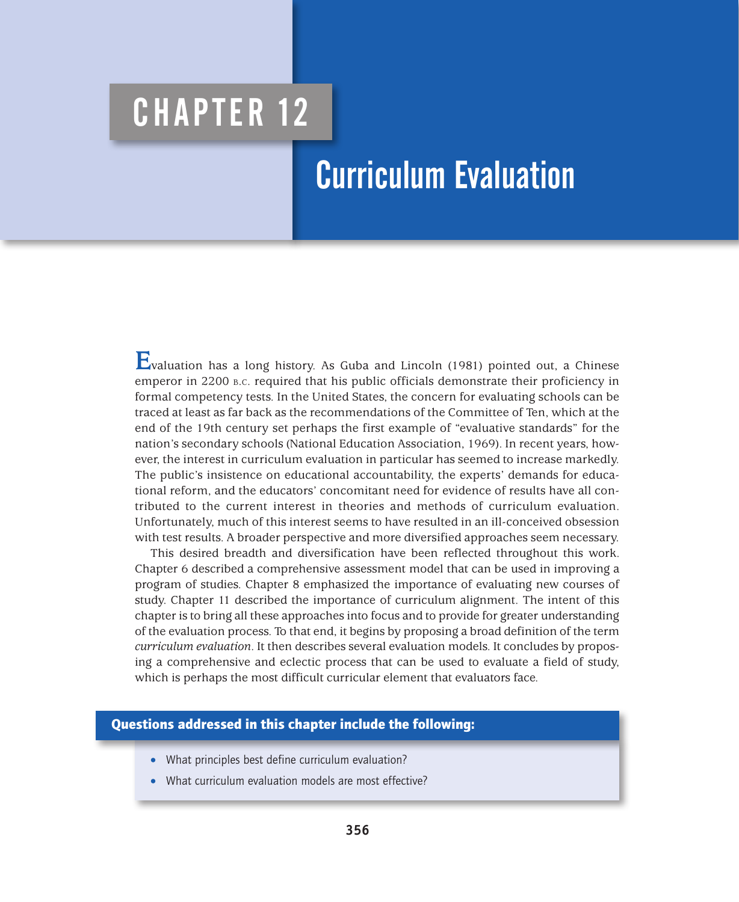# CHAPTER 12

# Curriculum Evaluation

**E**valuation has a long history. As Guba and Lincoln (1981) pointed out, a Chinese emperor in 2200 b.c. required that his public officials demonstrate their proficiency in formal competency tests. In the United States, the concern for evaluating schools can be traced at least as far back as the recommendations of the Committee of Ten, which at the end of the 19th century set perhaps the first example of "evaluative standards" for the nation's secondary schools (National Education Association, 1969). In recent years, however, the interest in curriculum evaluation in particular has seemed to increase markedly. The public's insistence on educational accountability, the experts' demands for educational reform, and the educators' concomitant need for evidence of results have all contributed to the current interest in theories and methods of curriculum evaluation. Unfortunately, much of this interest seems to have resulted in an ill-conceived obsession with test results. A broader perspective and more diversified approaches seem necessary.

This desired breadth and diversification have been reflected throughout this work. Chapter 6 described a comprehensive assessment model that can be used in improving a program of studies. Chapter 8 emphasized the importance of evaluating new courses of study. Chapter 11 described the importance of curriculum alignment. The intent of this chapter is to bring all these approaches into focus and to provide for greater understanding of the evaluation process. To that end, it begins by proposing a broad definition of the term *curriculum evaluation*. It then describes several evaluation models. It concludes by proposing a comprehensive and eclectic process that can be used to evaluate a field of study, which is perhaps the most difficult curricular element that evaluators face.

## Questions addressed in this chapter include the following:

- What principles best define curriculum evaluation?
- What curriculum evaluation models are most effective?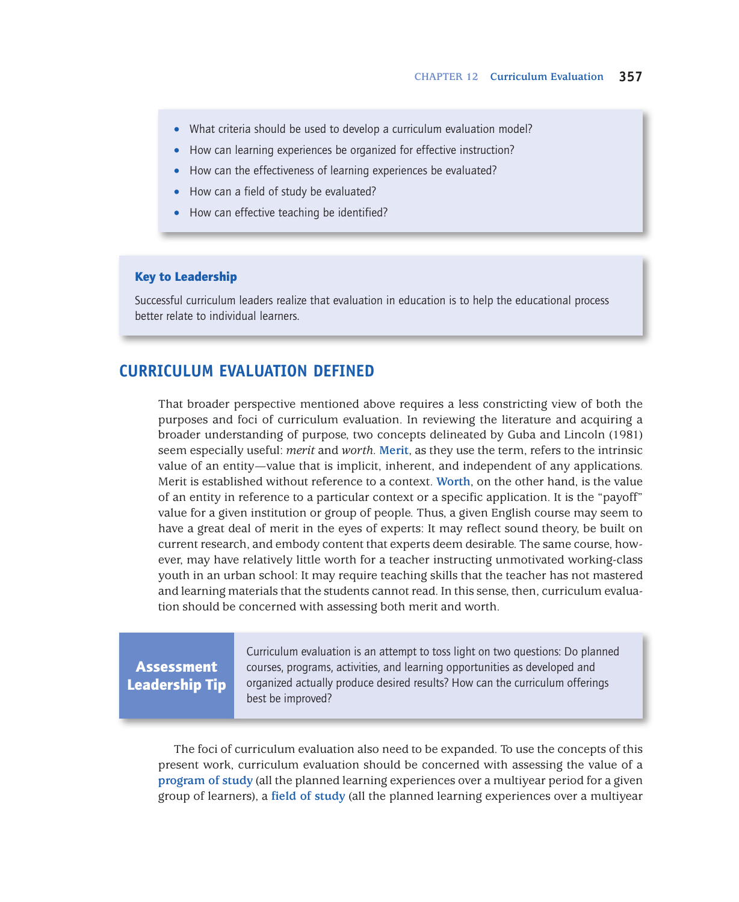- What criteria should be used to develop a curriculum evaluation model?
- How can learning experiences be organized for effective instruction?
- How can the effectiveness of learning experiences be evaluated?
- How can a field of study be evaluated?
- How can effective teaching be identified?

#### Key to Leadership

Successful curriculum leaders realize that evaluation in education is to help the educational process better relate to individual learners.

## **CURRICULUM EVALUATION DEFINED**

That broader perspective mentioned above requires a less constricting view of both the purposes and foci of curriculum evaluation. In reviewing the literature and acquiring a broader understanding of purpose, two concepts delineated by Guba and Lincoln (1981) seem especially useful: *merit* and *worth.* **Merit**, as they use the term, refers to the intrinsic value of an entity—value that is implicit, inherent, and independent of any applications. Merit is established without reference to a context. **Worth**, on the other hand, is the value of an entity in reference to a particular context or a specific application. It is the "payoff" value for a given institution or group of people. Thus, a given English course may seem to have a great deal of merit in the eyes of experts: It may reflect sound theory, be built on current research, and embody content that experts deem desirable. The same course, however, may have relatively little worth for a teacher instructing unmotivated working-class youth in an urban school: It may require teaching skills that the teacher has not mastered and learning materials that the students cannot read. In this sense, then, curriculum evaluation should be concerned with assessing both merit and worth.

## **Assessment** Leadership Tip

Curriculum evaluation is an attempt to toss light on two questions: Do planned courses, programs, activities, and learning opportunities as developed and organized actually produce desired results? How can the curriculum offerings best be improved?

The foci of curriculum evaluation also need to be expanded. To use the concepts of this present work, curriculum evaluation should be concerned with assessing the value of a **program of study** (all the planned learning experiences over a multiyear period for a given group of learners), a **field of study** (all the planned learning experiences over a multiyear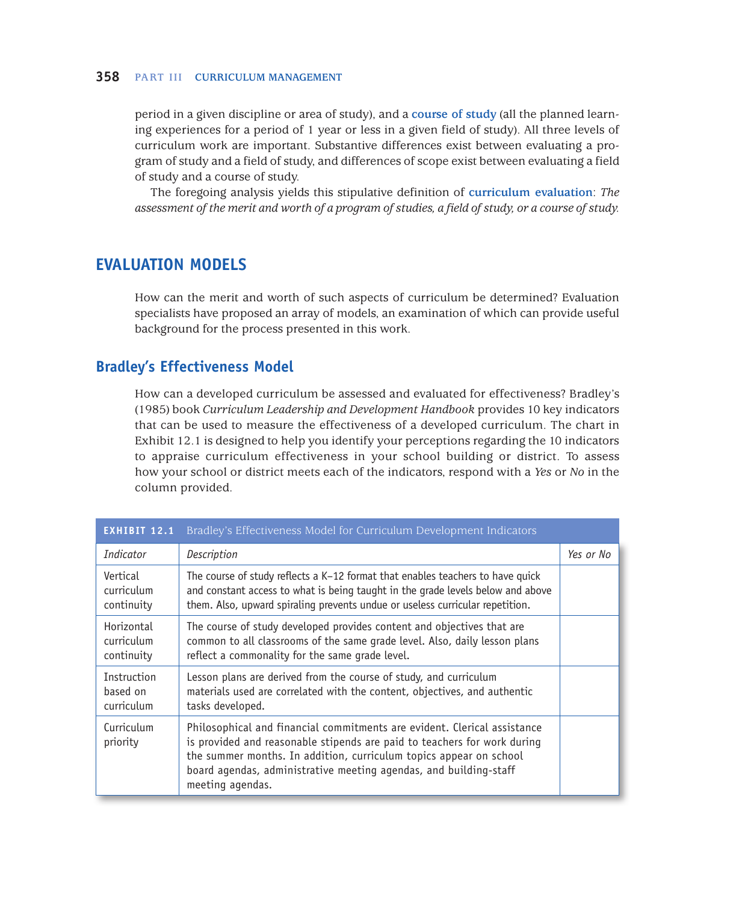period in a given discipline or area of study), and a **course of study** (all the planned learning experiences for a period of 1 year or less in a given field of study). All three levels of curriculum work are important. Substantive differences exist between evaluating a program of study and a field of study, and differences of scope exist between evaluating a field of study and a course of study.

The foregoing analysis yields this stipulative definition of **curriculum evaluation**: *The assessment of the merit and worth of a program of studies, a field of study, or a course of study.*

## **EVALUATION MODELS**

How can the merit and worth of such aspects of curriculum be determined? Evaluation specialists have proposed an array of models, an examination of which can provide useful background for the process presented in this work.

## **Bradley's Effectiveness Model**

How can a developed curriculum be assessed and evaluated for effectiveness? Bradley's (1985) book *Curriculum Leadership and Development Handbook* provides 10 key indicators that can be used to measure the effectiveness of a developed curriculum. The chart in Exhibit 12.1 is designed to help you identify your perceptions regarding the 10 indicators to appraise curriculum effectiveness in your school building or district. To assess how your school or district meets each of the indicators, respond with a *Yes* or *No* in the column provided.

| EXHIBIT 12.1                           | Bradley's Effectiveness Model for Curriculum Development Indicators                                                                                                                                                                                                                                                 |           |
|----------------------------------------|---------------------------------------------------------------------------------------------------------------------------------------------------------------------------------------------------------------------------------------------------------------------------------------------------------------------|-----------|
| Indicator                              | Description                                                                                                                                                                                                                                                                                                         | Yes or No |
| Vertical<br>curriculum<br>continuity   | The course of study reflects a K-12 format that enables teachers to have quick<br>and constant access to what is being taught in the grade levels below and above<br>them. Also, upward spiraling prevents undue or useless curricular repetition.                                                                  |           |
| Horizontal<br>curriculum<br>continuity | The course of study developed provides content and objectives that are<br>common to all classrooms of the same grade level. Also, daily lesson plans<br>reflect a commonality for the same grade level.                                                                                                             |           |
| Instruction<br>based on<br>curriculum  | Lesson plans are derived from the course of study, and curriculum<br>materials used are correlated with the content, objectives, and authentic<br>tasks developed.                                                                                                                                                  |           |
| Curriculum<br>priority                 | Philosophical and financial commitments are evident. Clerical assistance<br>is provided and reasonable stipends are paid to teachers for work during<br>the summer months. In addition, curriculum topics appear on school<br>board agendas, administrative meeting agendas, and building-staff<br>meeting agendas. |           |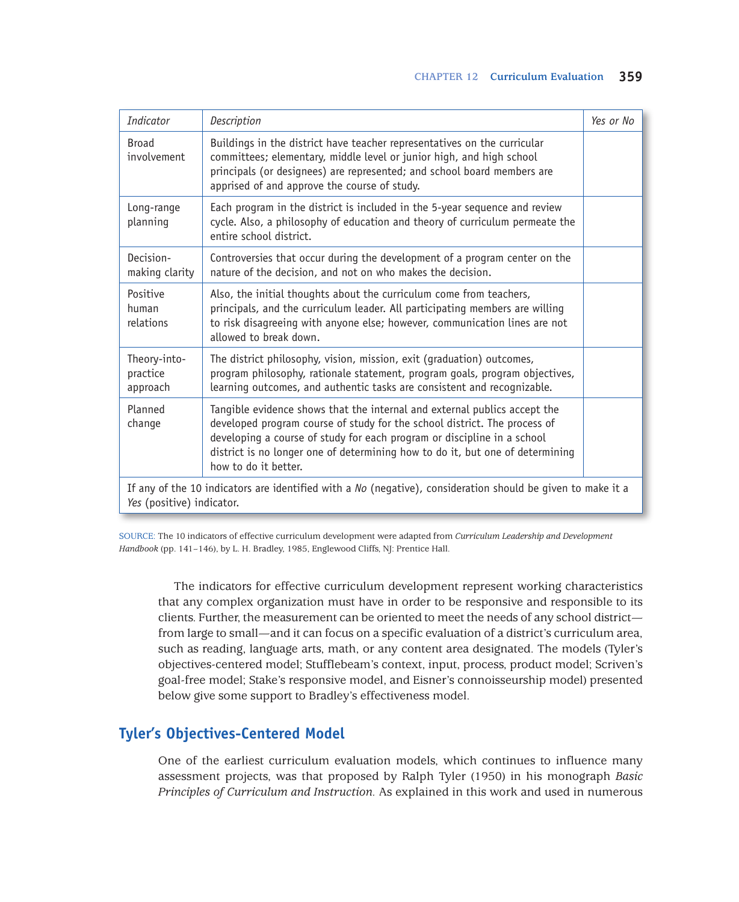#### **CHAPTER 12 Curriculum Evaluation 359**

| Indicator                                                                                                                                  | Description                                                                                                                                                                                                                                                                                                                                | Yes or No |
|--------------------------------------------------------------------------------------------------------------------------------------------|--------------------------------------------------------------------------------------------------------------------------------------------------------------------------------------------------------------------------------------------------------------------------------------------------------------------------------------------|-----------|
| <b>Broad</b><br>involvement                                                                                                                | Buildings in the district have teacher representatives on the curricular<br>committees; elementary, middle level or junior high, and high school<br>principals (or designees) are represented; and school board members are<br>apprised of and approve the course of study.                                                                |           |
| Long-range<br>planning                                                                                                                     | Each program in the district is included in the 5-year sequence and review<br>cycle. Also, a philosophy of education and theory of curriculum permeate the<br>entire school district.                                                                                                                                                      |           |
| Decision-<br>making clarity                                                                                                                | Controversies that occur during the development of a program center on the<br>nature of the decision, and not on who makes the decision.                                                                                                                                                                                                   |           |
| Positive<br>human<br>relations                                                                                                             | Also, the initial thoughts about the curriculum come from teachers,<br>principals, and the curriculum leader. All participating members are willing<br>to risk disagreeing with anyone else; however, communication lines are not<br>allowed to break down.                                                                                |           |
| Theory-into-<br>practice<br>approach                                                                                                       | The district philosophy, vision, mission, exit (graduation) outcomes,<br>program philosophy, rationale statement, program goals, program objectives,<br>learning outcomes, and authentic tasks are consistent and recognizable.                                                                                                            |           |
| Planned<br>change                                                                                                                          | Tangible evidence shows that the internal and external publics accept the<br>developed program course of study for the school district. The process of<br>developing a course of study for each program or discipline in a school<br>district is no longer one of determining how to do it, but one of determining<br>how to do it better. |           |
| If any of the 10 indicators are identified with a $No$ (negative), consideration should be given to make it a<br>Yes (positive) indicator. |                                                                                                                                                                                                                                                                                                                                            |           |

SOURCE: The 10 indicators of effective curriculum development were adapted from *Curriculum Leadership and Development Handbook* (pp. 141–146), by L. H. Bradley, 1985, Englewood Cliffs, NJ: Prentice Hall.

The indicators for effective curriculum development represent working characteristics that any complex organization must have in order to be responsive and responsible to its clients. Further, the measurement can be oriented to meet the needs of any school district from large to small—and it can focus on a specific evaluation of a district's curriculum area, such as reading, language arts, math, or any content area designated. The models (Tyler's objectives-centered model; Stufflebeam's context, input, process, product model; Scriven's goal-free model; Stake's responsive model, and Eisner's connoisseurship model) presented below give some support to Bradley's effectiveness model.

## **Tyler's Objectives-Centered Model**

One of the earliest curriculum evaluation models, which continues to influence many assessment projects, was that proposed by Ralph Tyler (1950) in his monograph *Basic Principles of Curriculum and Instruction.* As explained in this work and used in numerous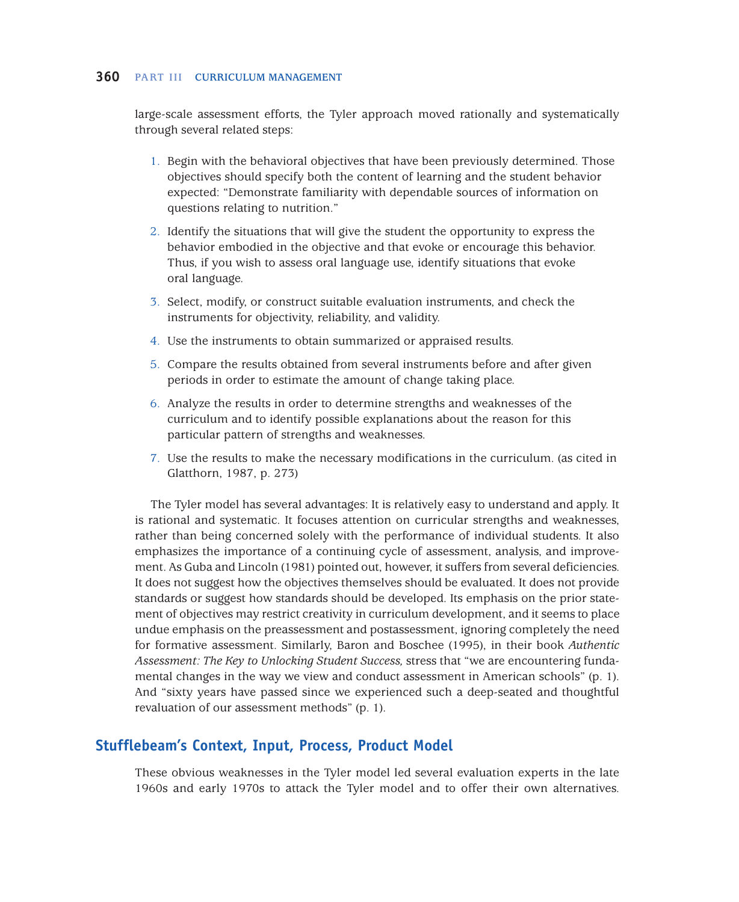large-scale assessment efforts, the Tyler approach moved rationally and systematically through several related steps:

- 1. Begin with the behavioral objectives that have been previously determined. Those objectives should specify both the content of learning and the student behavior expected: "Demonstrate familiarity with dependable sources of information on questions relating to nutrition."
- 2. Identify the situations that will give the student the opportunity to express the behavior embodied in the objective and that evoke or encourage this behavior. Thus, if you wish to assess oral language use, identify situations that evoke oral language.
- 3. Select, modify, or construct suitable evaluation instruments, and check the instruments for objectivity, reliability, and validity.
- 4. Use the instruments to obtain summarized or appraised results.
- 5. Compare the results obtained from several instruments before and after given periods in order to estimate the amount of change taking place.
- 6. Analyze the results in order to determine strengths and weaknesses of the curriculum and to identify possible explanations about the reason for this particular pattern of strengths and weaknesses.
- 7. Use the results to make the necessary modifications in the curriculum. (as cited in Glatthorn, 1987, p. 273)

The Tyler model has several advantages: It is relatively easy to understand and apply. It is rational and systematic. It focuses attention on curricular strengths and weaknesses, rather than being concerned solely with the performance of individual students. It also emphasizes the importance of a continuing cycle of assessment, analysis, and improvement. As Guba and Lincoln (1981) pointed out, however, it suffers from several deficiencies. It does not suggest how the objectives themselves should be evaluated. It does not provide standards or suggest how standards should be developed. Its emphasis on the prior statement of objectives may restrict creativity in curriculum development, and it seems to place undue emphasis on the preassessment and postassessment, ignoring completely the need for formative assessment. Similarly, Baron and Boschee (1995), in their book *Authentic Assessment: The Key to Unlocking Student Success,* stress that "we are encountering fundamental changes in the way we view and conduct assessment in American schools" (p. 1). And "sixty years have passed since we experienced such a deep-seated and thoughtful revaluation of our assessment methods" (p. 1).

## **Stufflebeam's Context, Input, Process, Product Model**

These obvious weaknesses in the Tyler model led several evaluation experts in the late 1960s and early 1970s to attack the Tyler model and to offer their own alternatives.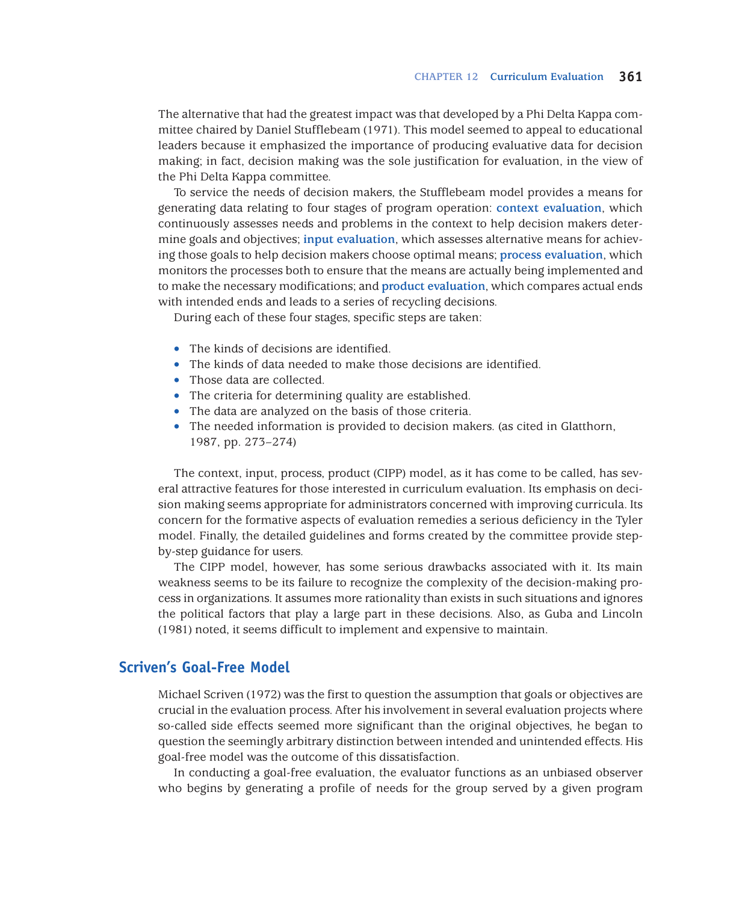The alternative that had the greatest impact was that developed by a Phi Delta Kappa committee chaired by Daniel Stufflebeam (1971). This model seemed to appeal to educational leaders because it emphasized the importance of producing evaluative data for decision making; in fact, decision making was the sole justification for evaluation, in the view of the Phi Delta Kappa committee.

To service the needs of decision makers, the Stufflebeam model provides a means for generating data relating to four stages of program operation: **context evaluation**, which continuously assesses needs and problems in the context to help decision makers determine goals and objectives; **input evaluation**, which assesses alternative means for achieving those goals to help decision makers choose optimal means; **process evaluation**, which monitors the processes both to ensure that the means are actually being implemented and to make the necessary modifications; and **product evaluation**, which compares actual ends with intended ends and leads to a series of recycling decisions.

During each of these four stages, specific steps are taken:

- The kinds of decisions are identified.
- The kinds of data needed to make those decisions are identified.
- Those data are collected.
- The criteria for determining quality are established.
- The data are analyzed on the basis of those criteria.
- The needed information is provided to decision makers. (as cited in Glatthorn, 1987, pp. 273–274)

The context, input, process, product (CIPP) model, as it has come to be called, has several attractive features for those interested in curriculum evaluation. Its emphasis on decision making seems appropriate for administrators concerned with improving curricula. Its concern for the formative aspects of evaluation remedies a serious deficiency in the Tyler model. Finally, the detailed guidelines and forms created by the committee provide stepby-step guidance for users.

The CIPP model, however, has some serious drawbacks associated with it. Its main weakness seems to be its failure to recognize the complexity of the decision-making process in organizations. It assumes more rationality than exists in such situations and ignores the political factors that play a large part in these decisions. Also, as Guba and Lincoln (1981) noted, it seems difficult to implement and expensive to maintain.

## **Scriven's Goal-Free Model**

Michael Scriven (1972) was the first to question the assumption that goals or objectives are crucial in the evaluation process. After his involvement in several evaluation projects where so-called side effects seemed more significant than the original objectives, he began to question the seemingly arbitrary distinction between intended and unintended effects. His goal-free model was the outcome of this dissatisfaction.

In conducting a goal-free evaluation, the evaluator functions as an unbiased observer who begins by generating a profile of needs for the group served by a given program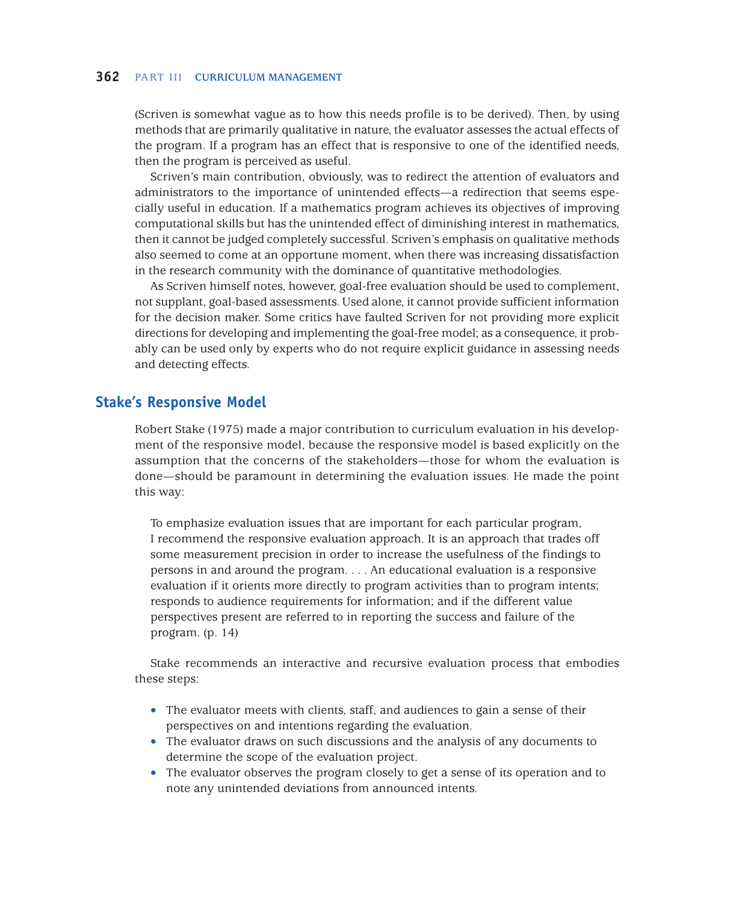(Scriven is somewhat vague as to how this needs profile is to be derived). Then, by using methods that are primarily qualitative in nature, the evaluator assesses the actual effects of the program. If a program has an effect that is responsive to one of the identified needs, then the program is perceived as useful.

Scriven's main contribution, obviously, was to redirect the attention of evaluators and administrators to the importance of unintended effects—a redirection that seems especially useful in education. If a mathematics program achieves its objectives of improving computational skills but has the unintended effect of diminishing interest in mathematics, then it cannot be judged completely successful. Scriven's emphasis on qualitative methods also seemed to come at an opportune moment, when there was increasing dissatisfaction in the research community with the dominance of quantitative methodologies.

As Scriven himself notes, however, goal-free evaluation should be used to complement, not supplant, goal-based assessments. Used alone, it cannot provide sufficient information for the decision maker. Some critics have faulted Scriven for not providing more explicit directions for developing and implementing the goal-free model; as a consequence, it probably can be used only by experts who do not require explicit guidance in assessing needs and detecting effects.

## **Stake's Responsive Model**

Robert Stake (1975) made a major contribution to curriculum evaluation in his development of the responsive model, because the responsive model is based explicitly on the assumption that the concerns of the stakeholders—those for whom the evaluation is done—should be paramount in determining the evaluation issues. He made the point this way:

To emphasize evaluation issues that are important for each particular program, I recommend the responsive evaluation approach. It is an approach that trades off some measurement precision in order to increase the usefulness of the findings to persons in and around the program. . . . An educational evaluation is a responsive evaluation if it orients more directly to program activities than to program intents; responds to audience requirements for information; and if the different value perspectives present are referred to in reporting the success and failure of the program. (p. 14)

Stake recommends an interactive and recursive evaluation process that embodies these steps:

- The evaluator meets with clients, staff, and audiences to gain a sense of their perspectives on and intentions regarding the evaluation.
- The evaluator draws on such discussions and the analysis of any documents to determine the scope of the evaluation project.
- The evaluator observes the program closely to get a sense of its operation and to note any unintended deviations from announced intents.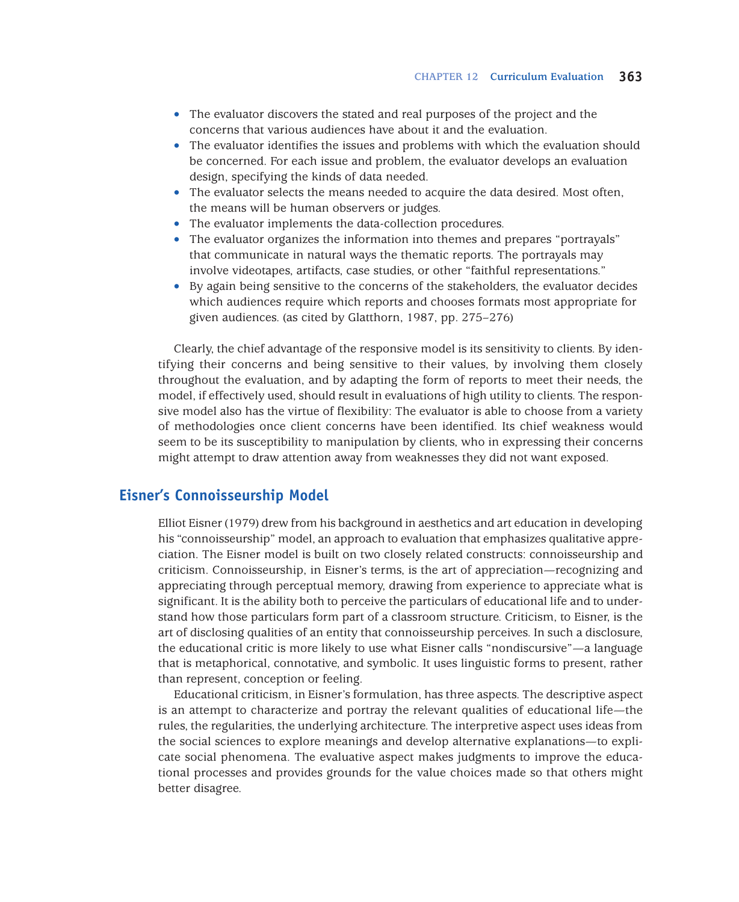- The evaluator discovers the stated and real purposes of the project and the concerns that various audiences have about it and the evaluation.
- The evaluator identifies the issues and problems with which the evaluation should be concerned. For each issue and problem, the evaluator develops an evaluation design, specifying the kinds of data needed.
- The evaluator selects the means needed to acquire the data desired. Most often, the means will be human observers or judges.
- The evaluator implements the data-collection procedures.
- The evaluator organizes the information into themes and prepares "portrayals" that communicate in natural ways the thematic reports. The portrayals may involve videotapes, artifacts, case studies, or other "faithful representations."
- By again being sensitive to the concerns of the stakeholders, the evaluator decides which audiences require which reports and chooses formats most appropriate for given audiences. (as cited by Glatthorn, 1987, pp. 275–276)

Clearly, the chief advantage of the responsive model is its sensitivity to clients. By identifying their concerns and being sensitive to their values, by involving them closely throughout the evaluation, and by adapting the form of reports to meet their needs, the model, if effectively used, should result in evaluations of high utility to clients. The responsive model also has the virtue of flexibility: The evaluator is able to choose from a variety of methodologies once client concerns have been identified. Its chief weakness would seem to be its susceptibility to manipulation by clients, who in expressing their concerns might attempt to draw attention away from weaknesses they did not want exposed.

## **Eisner's Connoisseurship Model**

Elliot Eisner (1979) drew from his background in aesthetics and art education in developing his "connoisseurship" model, an approach to evaluation that emphasizes qualitative appreciation. The Eisner model is built on two closely related constructs: connoisseurship and criticism. Connoisseurship, in Eisner's terms, is the art of appreciation—recognizing and appreciating through perceptual memory, drawing from experience to appreciate what is significant. It is the ability both to perceive the particulars of educational life and to understand how those particulars form part of a classroom structure. Criticism, to Eisner, is the art of disclosing qualities of an entity that connoisseurship perceives. In such a disclosure, the educational critic is more likely to use what Eisner calls "nondiscursive"—a language that is metaphorical, connotative, and symbolic. It uses linguistic forms to present, rather than represent, conception or feeling.

Educational criticism, in Eisner's formulation, has three aspects. The descriptive aspect is an attempt to characterize and portray the relevant qualities of educational life—the rules, the regularities, the underlying architecture. The interpretive aspect uses ideas from the social sciences to explore meanings and develop alternative explanations—to explicate social phenomena. The evaluative aspect makes judgments to improve the educational processes and provides grounds for the value choices made so that others might better disagree.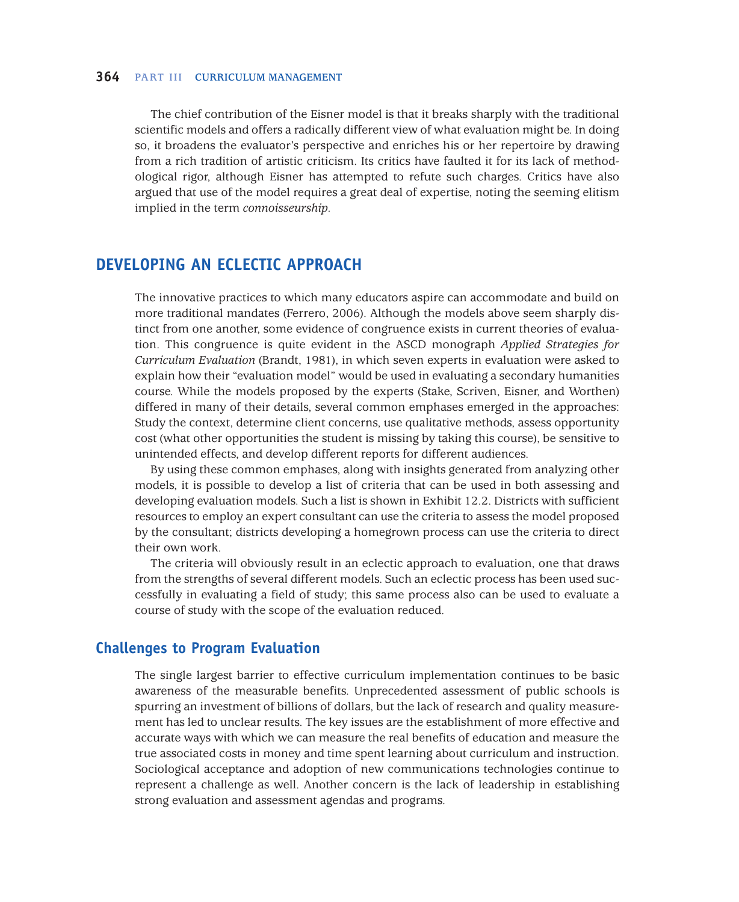The chief contribution of the Eisner model is that it breaks sharply with the traditional scientific models and offers a radically different view of what evaluation might be. In doing so, it broadens the evaluator's perspective and enriches his or her repertoire by drawing from a rich tradition of artistic criticism. Its critics have faulted it for its lack of methodological rigor, although Eisner has attempted to refute such charges. Critics have also argued that use of the model requires a great deal of expertise, noting the seeming elitism implied in the term *connoisseurship.*

## **DEVELOPING AN ECLECTIC APPROACH**

The innovative practices to which many educators aspire can accommodate and build on more traditional mandates (Ferrero, 2006). Although the models above seem sharply distinct from one another, some evidence of congruence exists in current theories of evaluation. This congruence is quite evident in the ASCD monograph *Applied Strategies for Curriculum Evaluation* (Brandt, 1981), in which seven experts in evaluation were asked to explain how their "evaluation model" would be used in evaluating a secondary humanities course. While the models proposed by the experts (Stake, Scriven, Eisner, and Worthen) differed in many of their details, several common emphases emerged in the approaches: Study the context, determine client concerns, use qualitative methods, assess opportunity cost (what other opportunities the student is missing by taking this course), be sensitive to unintended effects, and develop different reports for different audiences.

By using these common emphases, along with insights generated from analyzing other models, it is possible to develop a list of criteria that can be used in both assessing and developing evaluation models. Such a list is shown in Exhibit 12.2. Districts with sufficient resources to employ an expert consultant can use the criteria to assess the model proposed by the consultant; districts developing a homegrown process can use the criteria to direct their own work.

The criteria will obviously result in an eclectic approach to evaluation, one that draws from the strengths of several different models. Such an eclectic process has been used successfully in evaluating a field of study; this same process also can be used to evaluate a course of study with the scope of the evaluation reduced.

## **Challenges to Program Evaluation**

The single largest barrier to effective curriculum implementation continues to be basic awareness of the measurable benefits. Unprecedented assessment of public schools is spurring an investment of billions of dollars, but the lack of research and quality measurement has led to unclear results. The key issues are the establishment of more effective and accurate ways with which we can measure the real benefits of education and measure the true associated costs in money and time spent learning about curriculum and instruction. Sociological acceptance and adoption of new communications technologies continue to represent a challenge as well. Another concern is the lack of leadership in establishing strong evaluation and assessment agendas and programs.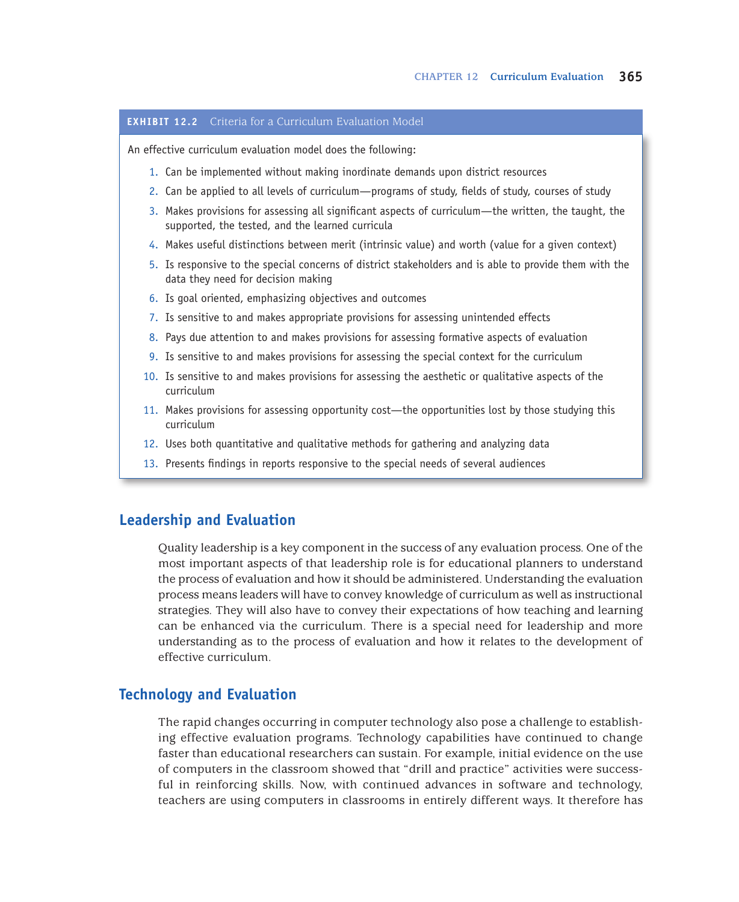#### **EXHIBIT 12.2** Criteria for a Curriculum Evaluation Model

An effective curriculum evaluation model does the following:

- 1. Can be implemented without making inordinate demands upon district resources
- 2. Can be applied to all levels of curriculum—programs of study, fields of study, courses of study
- 3. Makes provisions for assessing all significant aspects of curriculum—the written, the taught, the supported, the tested, and the learned curricula
- 4. Makes useful distinctions between merit (intrinsic value) and worth (value for a given context)
- 5. Is responsive to the special concerns of district stakeholders and is able to provide them with the data they need for decision making
- 6. Is goal oriented, emphasizing objectives and outcomes
- 7. Is sensitive to and makes appropriate provisions for assessing unintended effects
- 8. Pays due attention to and makes provisions for assessing formative aspects of evaluation
- 9. Is sensitive to and makes provisions for assessing the special context for the curriculum
- 10. Is sensitive to and makes provisions for assessing the aesthetic or qualitative aspects of the curriculum
- 11. Makes provisions for assessing opportunity cost—the opportunities lost by those studying this curriculum
- 12. Uses both quantitative and qualitative methods for gathering and analyzing data
- 13. Presents findings in reports responsive to the special needs of several audiences

## **Leadership and Evaluation**

Quality leadership is a key component in the success of any evaluation process. One of the most important aspects of that leadership role is for educational planners to understand the process of evaluation and how it should be administered. Understanding the evaluation process means leaders will have to convey knowledge of curriculum as well as instructional strategies. They will also have to convey their expectations of how teaching and learning can be enhanced via the curriculum. There is a special need for leadership and more understanding as to the process of evaluation and how it relates to the development of effective curriculum.

## **Technology and Evaluation**

The rapid changes occurring in computer technology also pose a challenge to establishing effective evaluation programs. Technology capabilities have continued to change faster than educational researchers can sustain. For example, initial evidence on the use of computers in the classroom showed that "drill and practice" activities were successful in reinforcing skills. Now, with continued advances in software and technology, teachers are using computers in classrooms in entirely different ways. It therefore has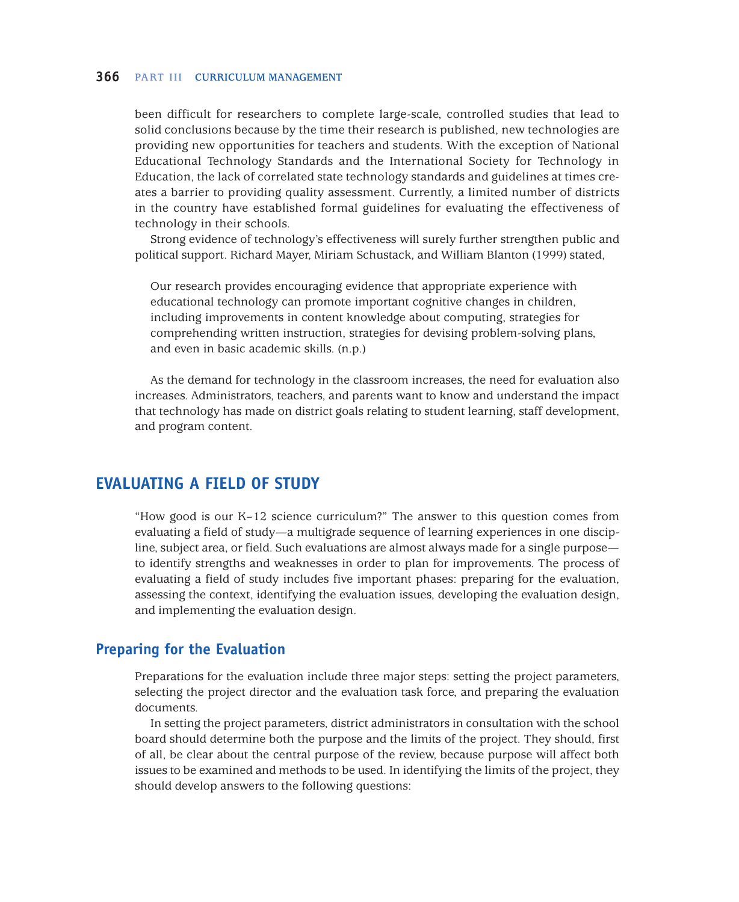been difficult for researchers to complete large-scale, controlled studies that lead to solid conclusions because by the time their research is published, new technologies are providing new opportunities for teachers and students. With the exception of National Educational Technology Standards and the International Society for Technology in Education, the lack of correlated state technology standards and guidelines at times creates a barrier to providing quality assessment. Currently, a limited number of districts in the country have established formal guidelines for evaluating the effectiveness of technology in their schools.

Strong evidence of technology's effectiveness will surely further strengthen public and political support. Richard Mayer, Miriam Schustack, and William Blanton (1999) stated,

Our research provides encouraging evidence that appropriate experience with educational technology can promote important cognitive changes in children, including improvements in content knowledge about computing, strategies for comprehending written instruction, strategies for devising problem-solving plans, and even in basic academic skills. (n.p.)

As the demand for technology in the classroom increases, the need for evaluation also increases. Administrators, teachers, and parents want to know and understand the impact that technology has made on district goals relating to student learning, staff development, and program content.

## **EVALUATING A FIELD OF STUDY**

"How good is our K–12 science curriculum?" The answer to this question comes from evaluating a field of study—a multigrade sequence of learning experiences in one discipline, subject area, or field. Such evaluations are almost always made for a single purpose to identify strengths and weaknesses in order to plan for improvements. The process of evaluating a field of study includes five important phases: preparing for the evaluation, assessing the context, identifying the evaluation issues, developing the evaluation design, and implementing the evaluation design.

## **Preparing for the Evaluation**

Preparations for the evaluation include three major steps: setting the project parameters, selecting the project director and the evaluation task force, and preparing the evaluation documents.

In setting the project parameters, district administrators in consultation with the school board should determine both the purpose and the limits of the project. They should, first of all, be clear about the central purpose of the review, because purpose will affect both issues to be examined and methods to be used. In identifying the limits of the project, they should develop answers to the following questions: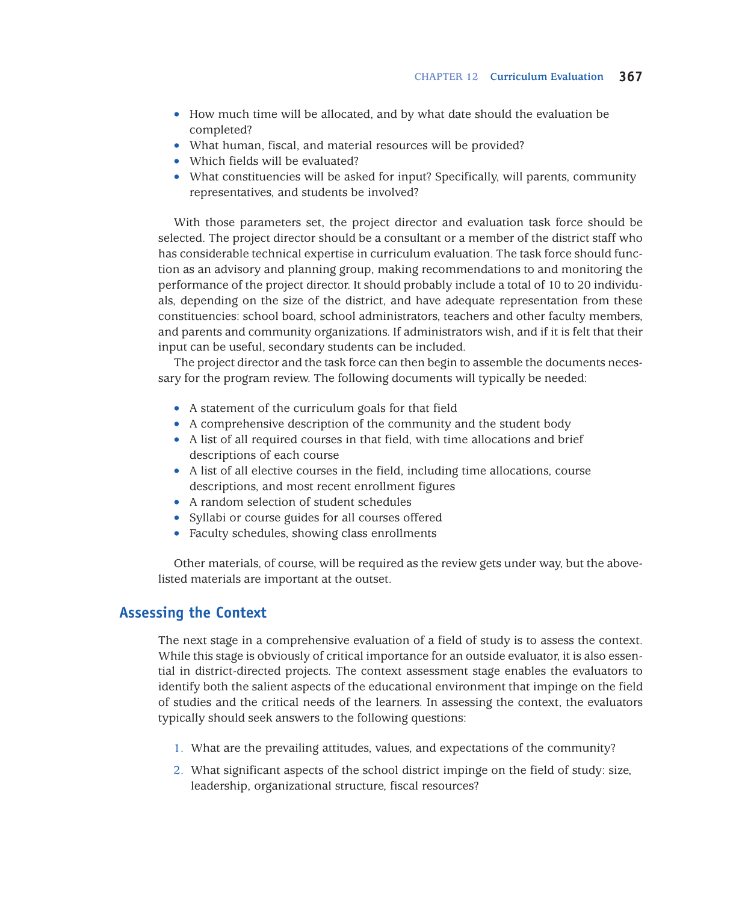- How much time will be allocated, and by what date should the evaluation be completed?
- What human, fiscal, and material resources will be provided?
- Which fields will be evaluated?
- What constituencies will be asked for input? Specifically, will parents, community representatives, and students be involved?

With those parameters set, the project director and evaluation task force should be selected. The project director should be a consultant or a member of the district staff who has considerable technical expertise in curriculum evaluation. The task force should function as an advisory and planning group, making recommendations to and monitoring the performance of the project director. It should probably include a total of 10 to 20 individuals, depending on the size of the district, and have adequate representation from these constituencies: school board, school administrators, teachers and other faculty members, and parents and community organizations. If administrators wish, and if it is felt that their input can be useful, secondary students can be included.

The project director and the task force can then begin to assemble the documents necessary for the program review. The following documents will typically be needed:

- A statement of the curriculum goals for that field
- A comprehensive description of the community and the student body
- A list of all required courses in that field, with time allocations and brief descriptions of each course
- A list of all elective courses in the field, including time allocations, course descriptions, and most recent enrollment figures
- A random selection of student schedules
- Syllabi or course guides for all courses offered
- Faculty schedules, showing class enrollments

Other materials, of course, will be required as the review gets under way, but the abovelisted materials are important at the outset.

## **Assessing the Context**

The next stage in a comprehensive evaluation of a field of study is to assess the context. While this stage is obviously of critical importance for an outside evaluator, it is also essential in district-directed projects. The context assessment stage enables the evaluators to identify both the salient aspects of the educational environment that impinge on the field of studies and the critical needs of the learners. In assessing the context, the evaluators typically should seek answers to the following questions:

- 1. What are the prevailing attitudes, values, and expectations of the community?
- 2. What significant aspects of the school district impinge on the field of study: size, leadership, organizational structure, fiscal resources?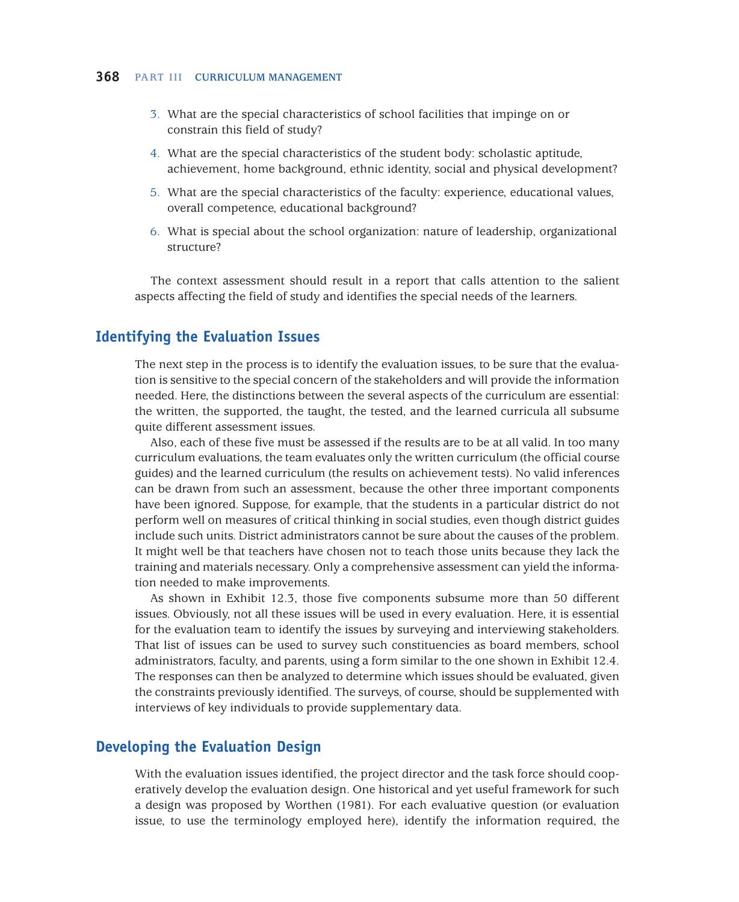- 3. What are the special characteristics of school facilities that impinge on or constrain this field of study?
- 4. What are the special characteristics of the student body: scholastic aptitude, achievement, home background, ethnic identity, social and physical development?
- 5. What are the special characteristics of the faculty: experience, educational values, overall competence, educational background?
- 6. What is special about the school organization: nature of leadership, organizational structure?

The context assessment should result in a report that calls attention to the salient aspects affecting the field of study and identifies the special needs of the learners.

## **Identifying the Evaluation Issues**

The next step in the process is to identify the evaluation issues, to be sure that the evaluation is sensitive to the special concern of the stakeholders and will provide the information needed. Here, the distinctions between the several aspects of the curriculum are essential: the written, the supported, the taught, the tested, and the learned curricula all subsume quite different assessment issues.

Also, each of these five must be assessed if the results are to be at all valid. In too many curriculum evaluations, the team evaluates only the written curriculum (the official course guides) and the learned curriculum (the results on achievement tests). No valid inferences can be drawn from such an assessment, because the other three important components have been ignored. Suppose, for example, that the students in a particular district do not perform well on measures of critical thinking in social studies, even though district guides include such units. District administrators cannot be sure about the causes of the problem. It might well be that teachers have chosen not to teach those units because they lack the training and materials necessary. Only a comprehensive assessment can yield the information needed to make improvements.

As shown in Exhibit 12.3, those five components subsume more than 50 different issues. Obviously, not all these issues will be used in every evaluation. Here, it is essential for the evaluation team to identify the issues by surveying and interviewing stakeholders. That list of issues can be used to survey such constituencies as board members, school administrators, faculty, and parents, using a form similar to the one shown in Exhibit 12.4. The responses can then be analyzed to determine which issues should be evaluated, given the constraints previously identified. The surveys, of course, should be supplemented with interviews of key individuals to provide supplementary data.

## **Developing the Evaluation Design**

With the evaluation issues identified, the project director and the task force should cooperatively develop the evaluation design. One historical and yet useful framework for such a design was proposed by Worthen (1981). For each evaluative question (or evaluation issue, to use the terminology employed here), identify the information required, the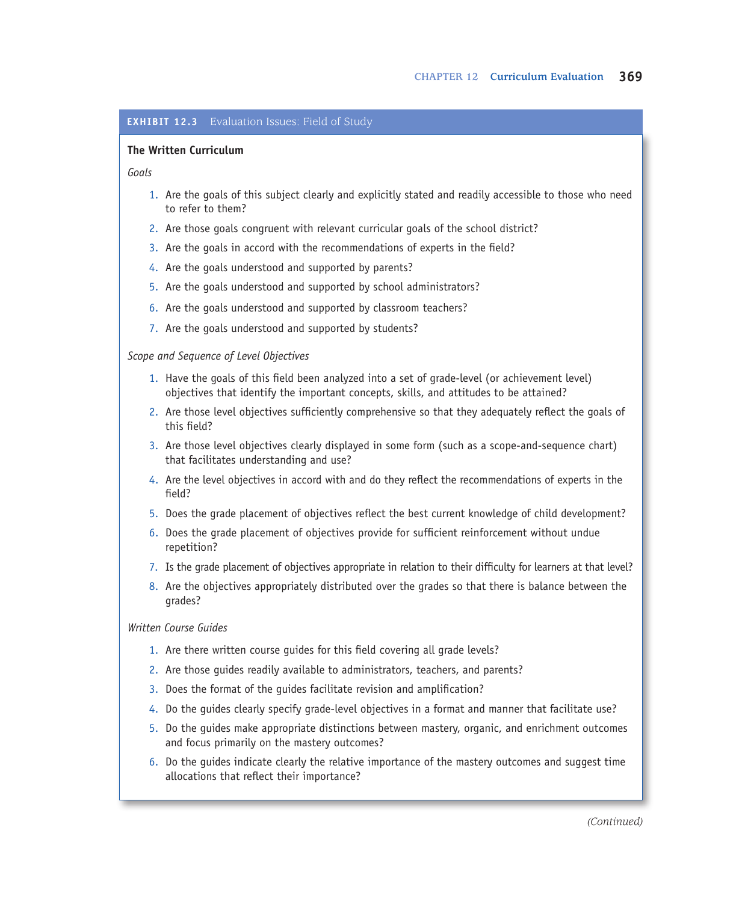#### **EXHIBIT 12.3** Evaluation Issues: Field of Study

#### **The Written Curriculum**

*Goals*

- 1. Are the goals of this subject clearly and explicitly stated and readily accessible to those who need to refer to them?
- 2. Are those goals congruent with relevant curricular goals of the school district?
- 3. Are the goals in accord with the recommendations of experts in the field?
- 4. Are the goals understood and supported by parents?
- 5. Are the goals understood and supported by school administrators?
- 6. Are the goals understood and supported by classroom teachers?
- 7. Are the goals understood and supported by students?

*Scope and Sequence of Level Objectives*

- 1. Have the goals of this field been analyzed into a set of grade-level (or achievement level) objectives that identify the important concepts, skills, and attitudes to be attained?
- 2. Are those level objectives sufficiently comprehensive so that they adequately reflect the goals of this field?
- 3. Are those level objectives clearly displayed in some form (such as a scope-and-sequence chart) that facilitates understanding and use?
- 4. Are the level objectives in accord with and do they reflect the recommendations of experts in the field?
- 5. Does the grade placement of objectives reflect the best current knowledge of child development?
- 6. Does the grade placement of objectives provide for sufficient reinforcement without undue repetition?
- 7. Is the grade placement of objectives appropriate in relation to their difficulty for learners at that level?
- 8. Are the objectives appropriately distributed over the grades so that there is balance between the grades?

*Written Course Guides*

- 1. Are there written course guides for this field covering all grade levels?
- 2. Are those guides readily available to administrators, teachers, and parents?
- 3. Does the format of the guides facilitate revision and amplification?
- 4. Do the guides clearly specify grade-level objectives in a format and manner that facilitate use?
- 5. Do the guides make appropriate distinctions between mastery, organic, and enrichment outcomes and focus primarily on the mastery outcomes?
- 6. Do the guides indicate clearly the relative importance of the mastery outcomes and suggest time allocations that reflect their importance?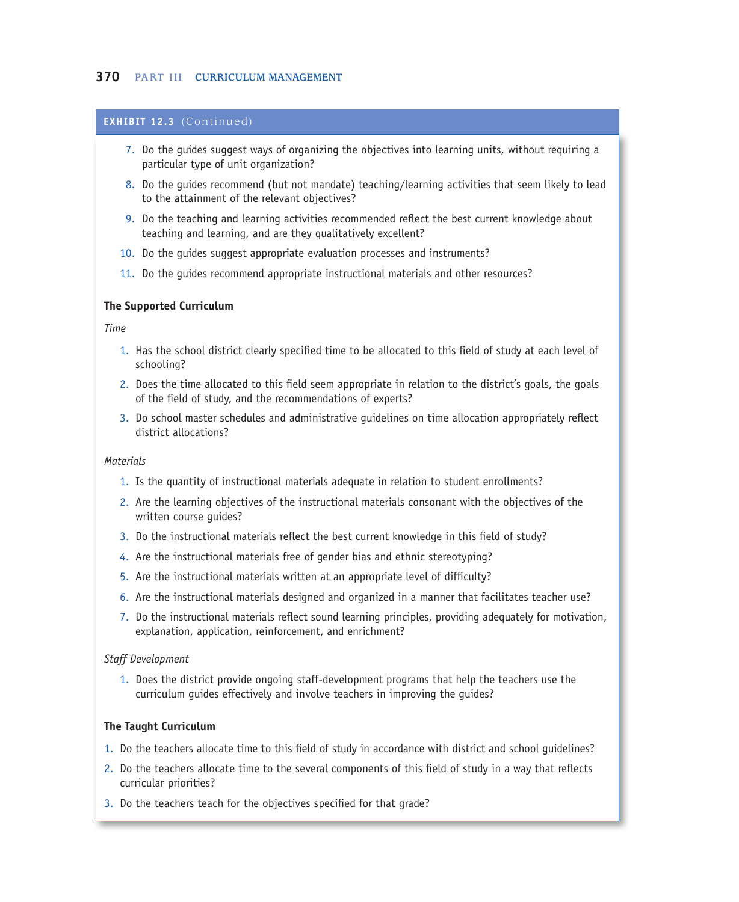#### **EXHIBIT 12.3** (Continued)

- 7. Do the guides suggest ways of organizing the objectives into learning units, without requiring a particular type of unit organization?
- 8. Do the guides recommend (but not mandate) teaching/learning activities that seem likely to lead to the attainment of the relevant objectives?
- 9. Do the teaching and learning activities recommended reflect the best current knowledge about teaching and learning, and are they qualitatively excellent?
- 10. Do the guides suggest appropriate evaluation processes and instruments?
- 11. Do the guides recommend appropriate instructional materials and other resources?

#### **The Supported Curriculum**

*Time*

- 1. Has the school district clearly specified time to be allocated to this field of study at each level of schooling?
- 2. Does the time allocated to this field seem appropriate in relation to the district's goals, the goals of the field of study, and the recommendations of experts?
- 3. Do school master schedules and administrative guidelines on time allocation appropriately reflect district allocations?

#### *Materials*

- 1. Is the quantity of instructional materials adequate in relation to student enrollments?
- 2. Are the learning objectives of the instructional materials consonant with the objectives of the written course guides?
- 3. Do the instructional materials reflect the best current knowledge in this field of study?
- 4. Are the instructional materials free of gender bias and ethnic stereotyping?
- 5. Are the instructional materials written at an appropriate level of difficulty?
- 6. Are the instructional materials designed and organized in a manner that facilitates teacher use?
- 7. Do the instructional materials reflect sound learning principles, providing adequately for motivation, explanation, application, reinforcement, and enrichment?

#### *Staff Development*

1. Does the district provide ongoing staff-development programs that help the teachers use the curriculum guides effectively and involve teachers in improving the guides?

#### **The Taught Curriculum**

- 1. Do the teachers allocate time to this field of study in accordance with district and school guidelines?
- 2. Do the teachers allocate time to the several components of this field of study in a way that reflects curricular priorities?
- 3. Do the teachers teach for the objectives specified for that grade?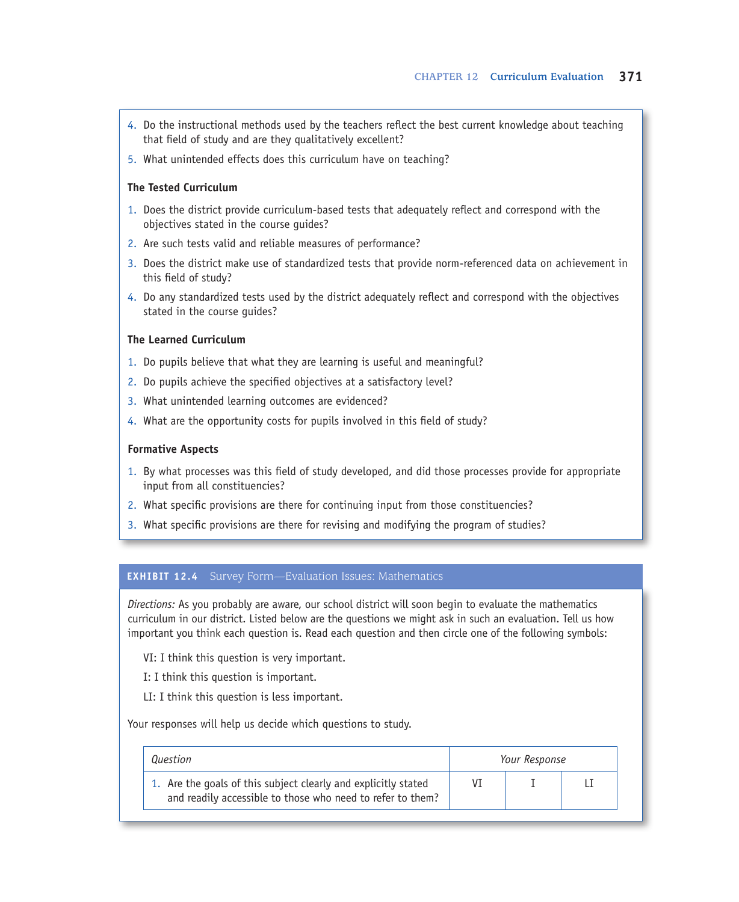- 4. Do the instructional methods used by the teachers reflect the best current knowledge about teaching that field of study and are they qualitatively excellent?
- 5. What unintended effects does this curriculum have on teaching?

#### **The Tested Curriculum**

- 1. Does the district provide curriculum-based tests that adequately reflect and correspond with the objectives stated in the course guides?
- 2. Are such tests valid and reliable measures of performance?
- 3. Does the district make use of standardized tests that provide norm-referenced data on achievement in this field of study?
- 4. Do any standardized tests used by the district adequately reflect and correspond with the objectives stated in the course guides?

#### **The Learned Curriculum**

- 1. Do pupils believe that what they are learning is useful and meaningful?
- 2. Do pupils achieve the specified objectives at a satisfactory level?
- 3. What unintended learning outcomes are evidenced?
- 4. What are the opportunity costs for pupils involved in this field of study?

#### **Formative Aspects**

- 1. By what processes was this field of study developed, and did those processes provide for appropriate input from all constituencies?
- 2. What specific provisions are there for continuing input from those constituencies?
- 3. What specific provisions are there for revising and modifying the program of studies?

## **EXHIBIT 12.4** Survey Form—Evaluation Issues: Mathematics

*Directions:* As you probably are aware, our school district will soon begin to evaluate the mathematics curriculum in our district. Listed below are the questions we might ask in such an evaluation. Tell us how important you think each question is. Read each question and then circle one of the following symbols:

- VI: I think this question is very important.
- I: I think this question is important.
- LI: I think this question is less important.

Your responses will help us decide which questions to study.

| Question                                                                                                                     |  | Your Response |  |
|------------------------------------------------------------------------------------------------------------------------------|--|---------------|--|
| 1. Are the goals of this subject clearly and explicitly stated<br>and readily accessible to those who need to refer to them? |  |               |  |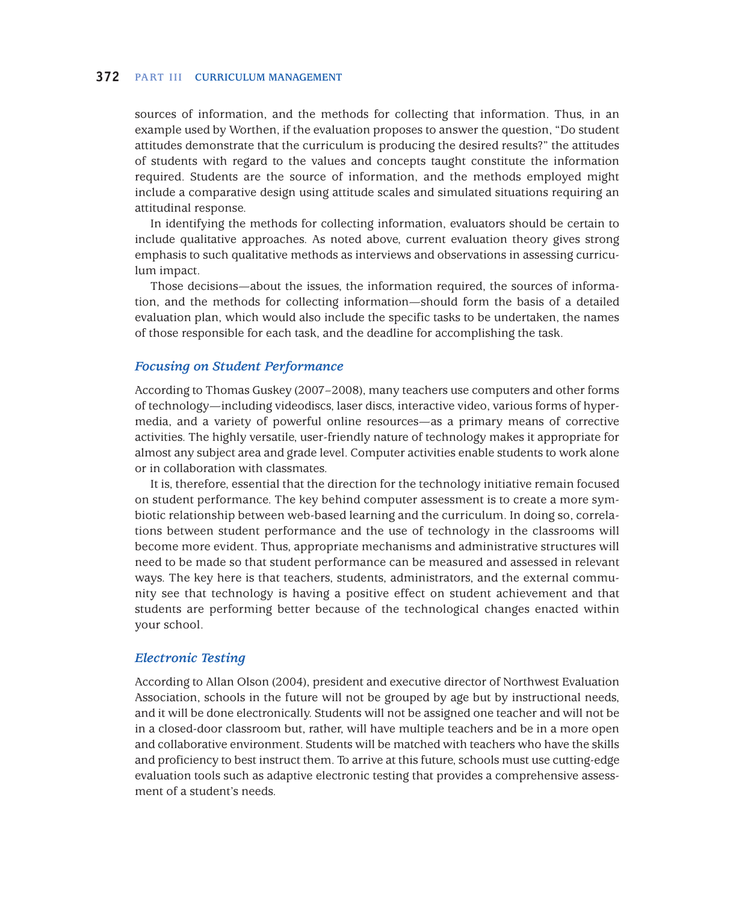sources of information, and the methods for collecting that information. Thus, in an example used by Worthen, if the evaluation proposes to answer the question, "Do student attitudes demonstrate that the curriculum is producing the desired results?" the attitudes of students with regard to the values and concepts taught constitute the information required. Students are the source of information, and the methods employed might include a comparative design using attitude scales and simulated situations requiring an attitudinal response.

In identifying the methods for collecting information, evaluators should be certain to include qualitative approaches. As noted above, current evaluation theory gives strong emphasis to such qualitative methods as interviews and observations in assessing curriculum impact.

Those decisions—about the issues, the information required, the sources of information, and the methods for collecting information—should form the basis of a detailed evaluation plan, which would also include the specific tasks to be undertaken, the names of those responsible for each task, and the deadline for accomplishing the task.

#### *Focusing on Student Performance*

According to Thomas Guskey (2007–2008), many teachers use computers and other forms of technology—including videodiscs, laser discs, interactive video, various forms of hypermedia, and a variety of powerful online resources—as a primary means of corrective activities. The highly versatile, user-friendly nature of technology makes it appropriate for almost any subject area and grade level. Computer activities enable students to work alone or in collaboration with classmates.

It is, therefore, essential that the direction for the technology initiative remain focused on student performance. The key behind computer assessment is to create a more symbiotic relationship between web-based learning and the curriculum. In doing so, correlations between student performance and the use of technology in the classrooms will become more evident. Thus, appropriate mechanisms and administrative structures will need to be made so that student performance can be measured and assessed in relevant ways. The key here is that teachers, students, administrators, and the external community see that technology is having a positive effect on student achievement and that students are performing better because of the technological changes enacted within your school.

#### *Electronic Testing*

According to Allan Olson (2004), president and executive director of Northwest Evaluation Association, schools in the future will not be grouped by age but by instructional needs, and it will be done electronically. Students will not be assigned one teacher and will not be in a closed-door classroom but, rather, will have multiple teachers and be in a more open and collaborative environment. Students will be matched with teachers who have the skills and proficiency to best instruct them. To arrive at this future, schools must use cutting-edge evaluation tools such as adaptive electronic testing that provides a comprehensive assessment of a student's needs.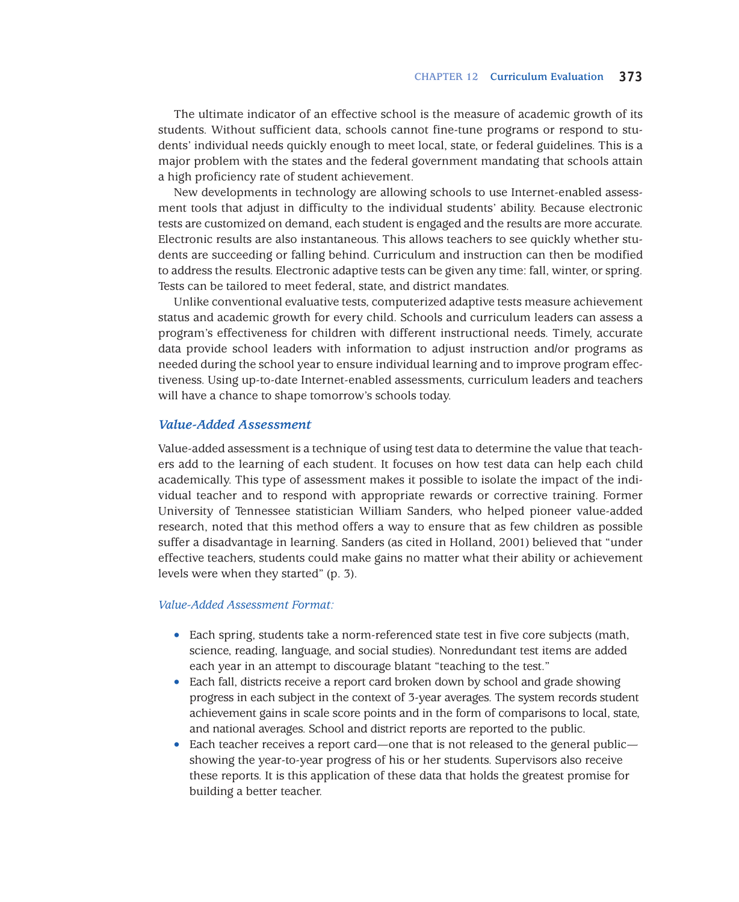The ultimate indicator of an effective school is the measure of academic growth of its students. Without sufficient data, schools cannot fine-tune programs or respond to students' individual needs quickly enough to meet local, state, or federal guidelines. This is a major problem with the states and the federal government mandating that schools attain a high proficiency rate of student achievement.

New developments in technology are allowing schools to use Internet-enabled assessment tools that adjust in difficulty to the individual students' ability. Because electronic tests are customized on demand, each student is engaged and the results are more accurate. Electronic results are also instantaneous. This allows teachers to see quickly whether students are succeeding or falling behind. Curriculum and instruction can then be modified to address the results. Electronic adaptive tests can be given any time: fall, winter, or spring. Tests can be tailored to meet federal, state, and district mandates.

Unlike conventional evaluative tests, computerized adaptive tests measure achievement status and academic growth for every child. Schools and curriculum leaders can assess a program's effectiveness for children with different instructional needs. Timely, accurate data provide school leaders with information to adjust instruction and/or programs as needed during the school year to ensure individual learning and to improve program effectiveness. Using up-to-date Internet-enabled assessments, curriculum leaders and teachers will have a chance to shape tomorrow's schools today.

#### *Value-Added Assessment*

Value-added assessment is a technique of using test data to determine the value that teachers add to the learning of each student. It focuses on how test data can help each child academically. This type of assessment makes it possible to isolate the impact of the individual teacher and to respond with appropriate rewards or corrective training. Former University of Tennessee statistician William Sanders, who helped pioneer value-added research, noted that this method offers a way to ensure that as few children as possible suffer a disadvantage in learning. Sanders (as cited in Holland, 2001) believed that "under effective teachers, students could make gains no matter what their ability or achievement levels were when they started" (p. 3).

#### *Value-Added Assessment Format:*

- Each spring, students take a norm-referenced state test in five core subjects (math, science, reading, language, and social studies). Nonredundant test items are added each year in an attempt to discourage blatant "teaching to the test."
- Each fall, districts receive a report card broken down by school and grade showing progress in each subject in the context of 3-year averages. The system records student achievement gains in scale score points and in the form of comparisons to local, state, and national averages. School and district reports are reported to the public.
- Each teacher receives a report card—one that is not released to the general public showing the year-to-year progress of his or her students. Supervisors also receive these reports. It is this application of these data that holds the greatest promise for building a better teacher.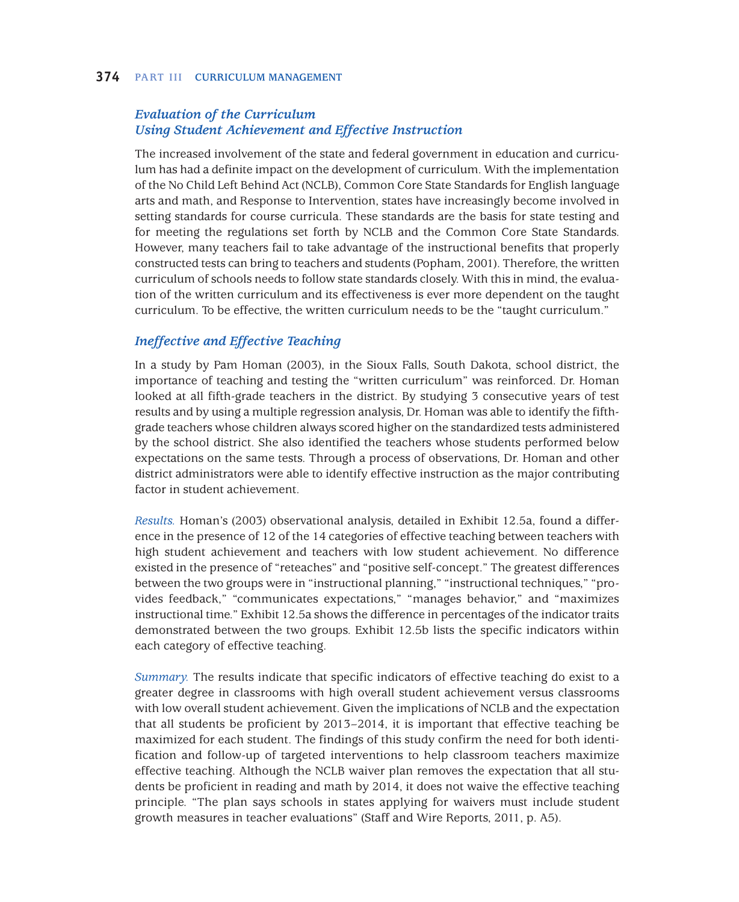## *Evaluation of the Curriculum Using Student Achievement and Effective Instruction*

The increased involvement of the state and federal government in education and curriculum has had a definite impact on the development of curriculum. With the implementation of the No Child Left Behind Act (NCLB), Common Core State Standards for English language arts and math, and Response to Intervention, states have increasingly become involved in setting standards for course curricula. These standards are the basis for state testing and for meeting the regulations set forth by NCLB and the Common Core State Standards. However, many teachers fail to take advantage of the instructional benefits that properly constructed tests can bring to teachers and students (Popham, 2001). Therefore, the written curriculum of schools needs to follow state standards closely. With this in mind, the evaluation of the written curriculum and its effectiveness is ever more dependent on the taught curriculum. To be effective, the written curriculum needs to be the "taught curriculum."

### *Ineffective and Effective Teaching*

In a study by Pam Homan (2003), in the Sioux Falls, South Dakota, school district, the importance of teaching and testing the "written curriculum" was reinforced. Dr. Homan looked at all fifth-grade teachers in the district. By studying 3 consecutive years of test results and by using a multiple regression analysis, Dr. Homan was able to identify the fifthgrade teachers whose children always scored higher on the standardized tests administered by the school district. She also identified the teachers whose students performed below expectations on the same tests. Through a process of observations, Dr. Homan and other district administrators were able to identify effective instruction as the major contributing factor in student achievement.

*Results.* Homan's (2003) observational analysis, detailed in Exhibit 12.5a, found a difference in the presence of 12 of the 14 categories of effective teaching between teachers with high student achievement and teachers with low student achievement. No difference existed in the presence of "reteaches" and "positive self-concept." The greatest differences between the two groups were in "instructional planning," "instructional techniques," "provides feedback," "communicates expectations," "manages behavior," and "maximizes instructional time." Exhibit 12.5a shows the difference in percentages of the indicator traits demonstrated between the two groups. Exhibit 12.5b lists the specific indicators within each category of effective teaching.

*Summary.* The results indicate that specific indicators of effective teaching do exist to a greater degree in classrooms with high overall student achievement versus classrooms with low overall student achievement. Given the implications of NCLB and the expectation that all students be proficient by 2013–2014, it is important that effective teaching be maximized for each student. The findings of this study confirm the need for both identification and follow-up of targeted interventions to help classroom teachers maximize effective teaching. Although the NCLB waiver plan removes the expectation that all students be proficient in reading and math by 2014, it does not waive the effective teaching principle. "The plan says schools in states applying for waivers must include student growth measures in teacher evaluations" (Staff and Wire Reports, 2011, p. A5).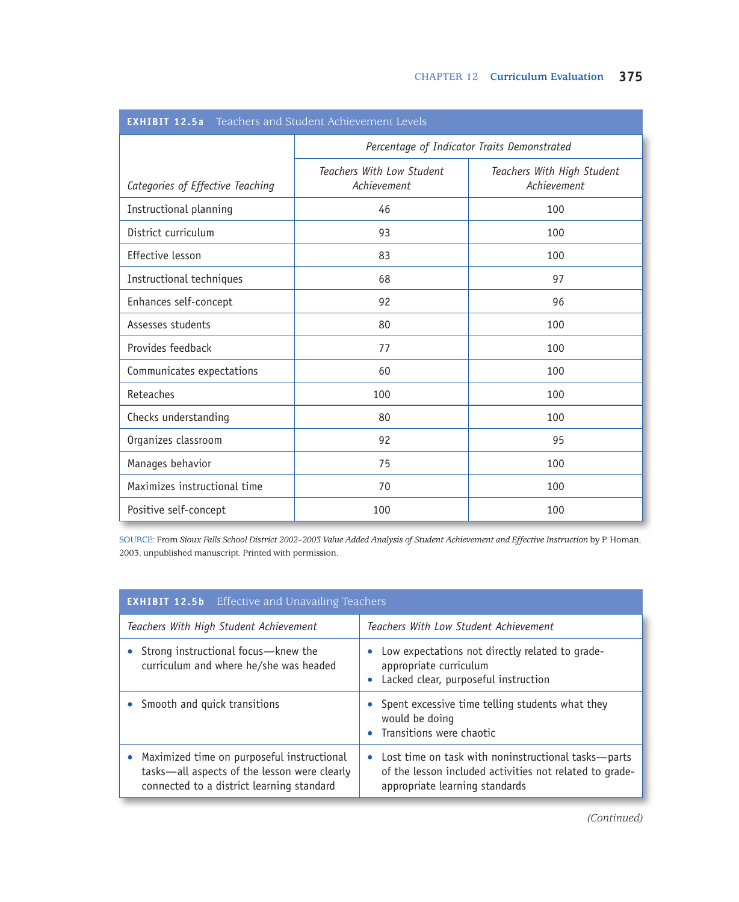## **CHAPTER 12 Curriculum Evaluation 375**

| <b>EXHIBIT 12.5a</b> Teachers and Student Achievement Levels |                                             |                                                  |  |
|--------------------------------------------------------------|---------------------------------------------|--------------------------------------------------|--|
|                                                              | Percentage of Indicator Traits Demonstrated |                                                  |  |
| Categories of Effective Teaching                             | Teachers With Low Student<br>Achievement    | Teachers With High Student<br><b>Achievement</b> |  |
| Instructional planning                                       | 46                                          | 100                                              |  |
| District curriculum                                          | 93                                          | 100                                              |  |
| <b>Effective lesson</b>                                      | 83                                          | 100                                              |  |
| Instructional techniques                                     | 68                                          | 97                                               |  |
| Enhances self-concept                                        | 92                                          | 96                                               |  |
| Assesses students                                            | 80                                          | 100                                              |  |
| Provides feedback                                            | 77                                          | 100                                              |  |
| Communicates expectations                                    | 60                                          | 100                                              |  |
| Reteaches                                                    | 100                                         | 100                                              |  |
| Checks understanding                                         | 80                                          | 100                                              |  |
| Organizes classroom                                          | 92                                          | 95                                               |  |
| Manages behavior                                             | 75                                          | 100                                              |  |
| Maximizes instructional time                                 | 70                                          | 100                                              |  |
| Positive self-concept                                        | 100                                         | 100                                              |  |

SOURCE: From *Sioux Falls School District 2002–2003 Value Added Analysis of Student Achievement and Effective Instruction* by P. Homan, 2003, unpublished manuscript. Printed with permission.

| <b>EXHIBIT 12.5b</b> Effective and Unavailing Teachers                                                                                  |                                                                                                                                                               |  |
|-----------------------------------------------------------------------------------------------------------------------------------------|---------------------------------------------------------------------------------------------------------------------------------------------------------------|--|
| Teachers With High Student Achievement                                                                                                  | Teachers With Low Student Achievement                                                                                                                         |  |
| Strong instructional focus—knew the<br>curriculum and where he/she was headed                                                           | Low expectations not directly related to grade-<br>$\bullet$<br>appropriate curriculum<br>Lacked clear, purposeful instruction<br>$\bullet$                   |  |
| Smooth and quick transitions                                                                                                            | Spent excessive time telling students what they<br>$\bullet$<br>would be doing<br>Transitions were chaotic                                                    |  |
| Maximized time on purposeful instructional<br>tasks-all aspects of the lesson were clearly<br>connected to a district learning standard | Lost time on task with noninstructional tasks—parts<br>$\bullet$<br>of the lesson included activities not related to grade-<br>appropriate learning standards |  |

*(Continued)*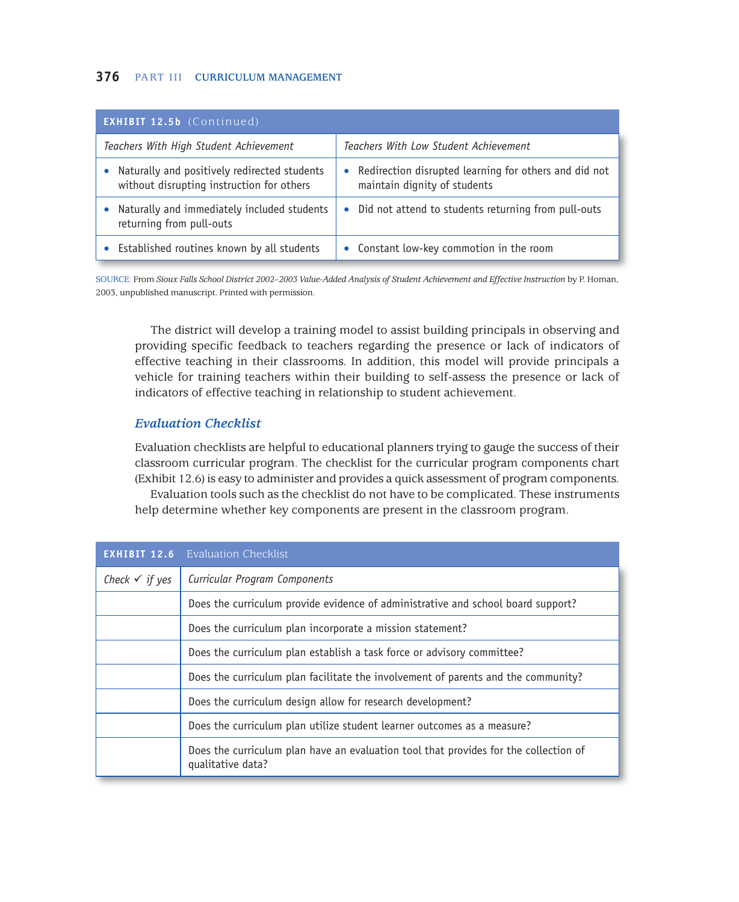| <b>EXHIBIT 12.5b</b> (Continued)                                                                       |                                                                                         |
|--------------------------------------------------------------------------------------------------------|-----------------------------------------------------------------------------------------|
| Teachers With High Student Achievement                                                                 | Teachers With Low Student Achievement                                                   |
| Naturally and positively redirected students<br>$\bullet$<br>without disrupting instruction for others | • Redirection disrupted learning for others and did not<br>maintain dignity of students |
| Naturally and immediately included students<br>returning from pull-outs                                | Did not attend to students returning from pull-outs<br>$\bullet$                        |
| Established routines known by all students<br>$\bullet$                                                | • Constant low-key commotion in the room                                                |

SOURCE: From *Sioux Falls School District 2002–2003 Value-Added Analysis of Student Achievement and Effective Instruction* by P. Homan, 2003, unpublished manuscript. Printed with permission.

The district will develop a training model to assist building principals in observing and providing specific feedback to teachers regarding the presence or lack of indicators of effective teaching in their classrooms. In addition, this model will provide principals a vehicle for training teachers within their building to self-assess the presence or lack of indicators of effective teaching in relationship to student achievement.

#### *Evaluation Checklist*

Evaluation checklists are helpful to educational planners trying to gauge the success of their classroom curricular program. The checklist for the curricular program components chart (Exhibit 12.6) is easy to administer and provides a quick assessment of program components.

Evaluation tools such as the checklist do not have to be complicated. These instruments help determine whether key components are present in the classroom program.

|                           | <b>EXHIBIT 12.6</b> Evaluation Checklist                                                                  |
|---------------------------|-----------------------------------------------------------------------------------------------------------|
| Check $\checkmark$ if yes | Curricular Program Components                                                                             |
|                           | Does the curriculum provide evidence of administrative and school board support?                          |
|                           | Does the curriculum plan incorporate a mission statement?                                                 |
|                           | Does the curriculum plan establish a task force or advisory committee?                                    |
|                           | Does the curriculum plan facilitate the involvement of parents and the community?                         |
|                           | Does the curriculum design allow for research development?                                                |
|                           | Does the curriculum plan utilize student learner outcomes as a measure?                                   |
|                           | Does the curriculum plan have an evaluation tool that provides for the collection of<br>qualitative data? |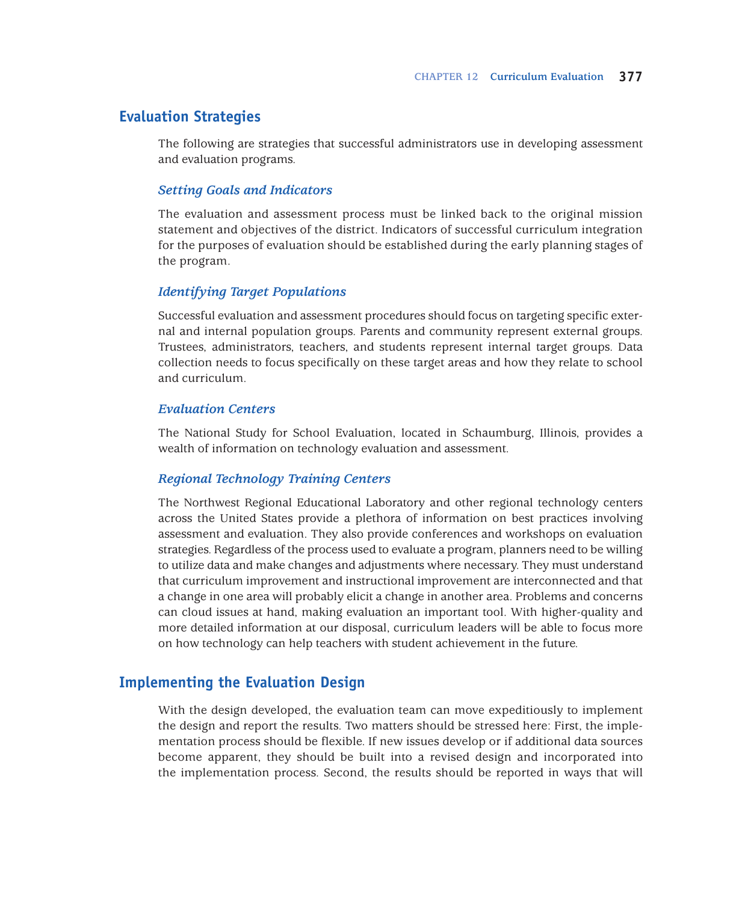## **Evaluation Strategies**

The following are strategies that successful administrators use in developing assessment and evaluation programs.

#### *Setting Goals and Indicators*

The evaluation and assessment process must be linked back to the original mission statement and objectives of the district. Indicators of successful curriculum integration for the purposes of evaluation should be established during the early planning stages of the program.

#### *Identifying Target Populations*

Successful evaluation and assessment procedures should focus on targeting specific external and internal population groups. Parents and community represent external groups. Trustees, administrators, teachers, and students represent internal target groups. Data collection needs to focus specifically on these target areas and how they relate to school and curriculum.

#### *Evaluation Centers*

The National Study for School Evaluation, located in Schaumburg, Illinois, provides a wealth of information on technology evaluation and assessment*.*

#### *Regional Technology Training Centers*

The Northwest Regional Educational Laboratory and other regional technology centers across the United States provide a plethora of information on best practices involving assessment and evaluation. They also provide conferences and workshops on evaluation strategies. Regardless of the process used to evaluate a program, planners need to be willing to utilize data and make changes and adjustments where necessary. They must understand that curriculum improvement and instructional improvement are interconnected and that a change in one area will probably elicit a change in another area. Problems and concerns can cloud issues at hand, making evaluation an important tool. With higher-quality and more detailed information at our disposal, curriculum leaders will be able to focus more on how technology can help teachers with student achievement in the future.

### **Implementing the Evaluation Design**

With the design developed, the evaluation team can move expeditiously to implement the design and report the results. Two matters should be stressed here: First, the implementation process should be flexible. If new issues develop or if additional data sources become apparent, they should be built into a revised design and incorporated into the implementation process. Second, the results should be reported in ways that will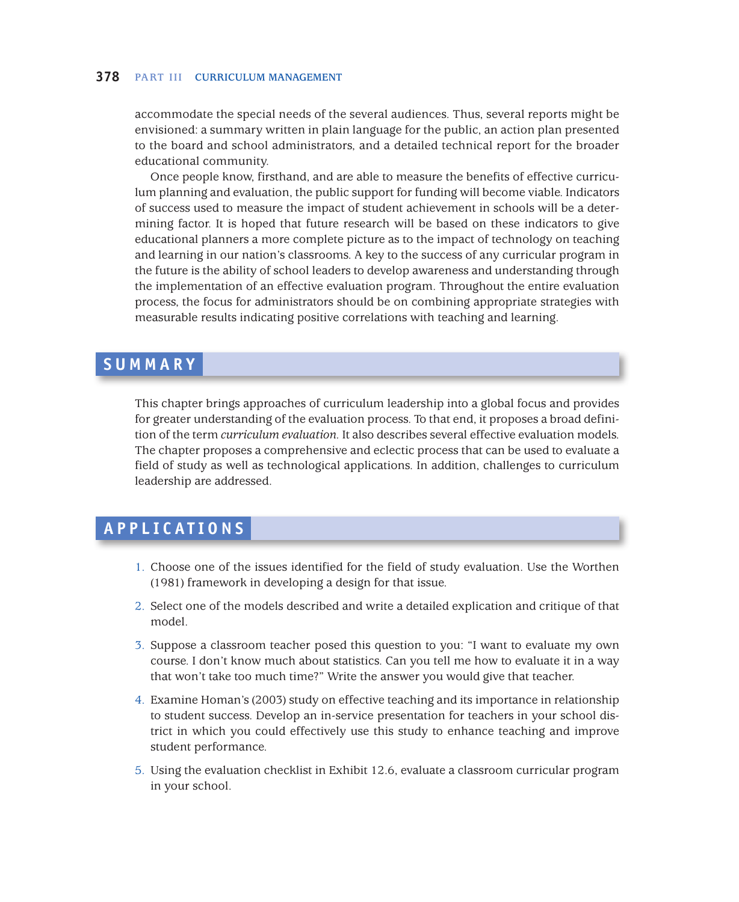accommodate the special needs of the several audiences. Thus, several reports might be envisioned: a summary written in plain language for the public, an action plan presented to the board and school administrators, and a detailed technical report for the broader educational community.

Once people know, firsthand, and are able to measure the benefits of effective curriculum planning and evaluation, the public support for funding will become viable. Indicators of success used to measure the impact of student achievement in schools will be a determining factor. It is hoped that future research will be based on these indicators to give educational planners a more complete picture as to the impact of technology on teaching and learning in our nation's classrooms. A key to the success of any curricular program in the future is the ability of school leaders to develop awareness and understanding through the implementation of an effective evaluation program. Throughout the entire evaluation process, the focus for administrators should be on combining appropriate strategies with measurable results indicating positive correlations with teaching and learning.

# **SUMMARY**

This chapter brings approaches of curriculum leadership into a global focus and provides for greater understanding of the evaluation process. To that end, it proposes a broad definition of the term *curriculum evaluation.* It also describes several effective evaluation models. The chapter proposes a comprehensive and eclectic process that can be used to evaluate a field of study as well as technological applications. In addition, challenges to curriculum leadership are addressed.

# **APPLICATIONS**

- 1. Choose one of the issues identified for the field of study evaluation. Use the Worthen (1981) framework in developing a design for that issue.
- 2. Select one of the models described and write a detailed explication and critique of that model.
- 3. Suppose a classroom teacher posed this question to you: "I want to evaluate my own course. I don't know much about statistics. Can you tell me how to evaluate it in a way that won't take too much time?" Write the answer you would give that teacher.
- 4. Examine Homan's (2003) study on effective teaching and its importance in relationship to student success. Develop an in-service presentation for teachers in your school district in which you could effectively use this study to enhance teaching and improve student performance.
- 5. Using the evaluation checklist in Exhibit 12.6, evaluate a classroom curricular program in your school.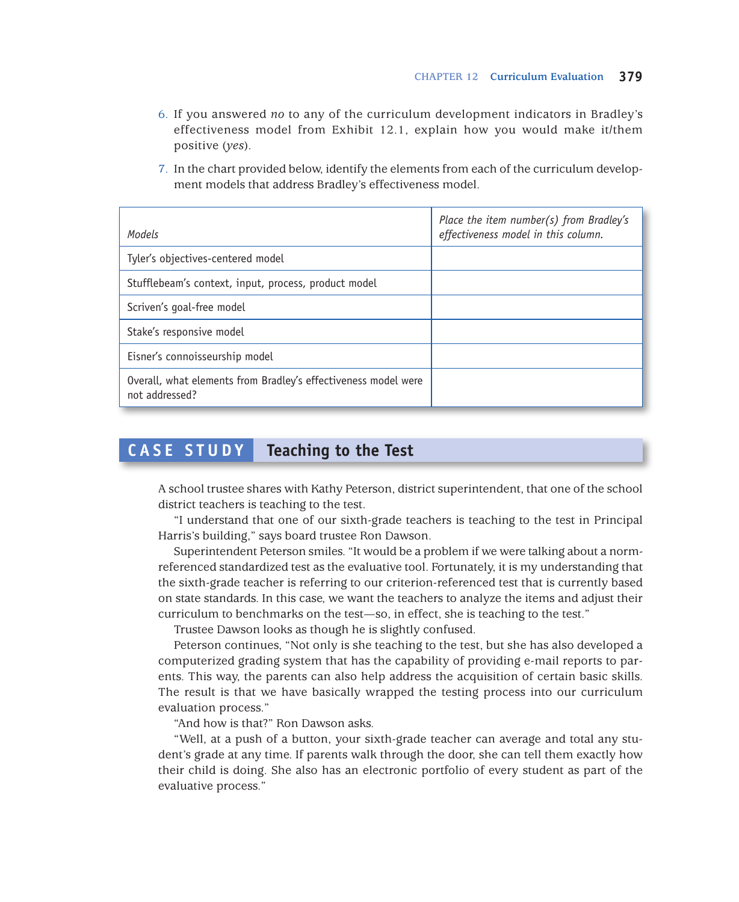- 6. If you answered *no* to any of the curriculum development indicators in Bradley's effectiveness model from Exhibit 12.1, explain how you would make it/them positive (*yes*).
- 7. In the chart provided below, identify the elements from each of the curriculum development models that address Bradley's effectiveness model.

| Models                                                                           | Place the item number(s) from Bradley's<br>effectiveness model in this column. |
|----------------------------------------------------------------------------------|--------------------------------------------------------------------------------|
| Tyler's objectives-centered model                                                |                                                                                |
| Stufflebeam's context, input, process, product model                             |                                                                                |
| Scriven's goal-free model                                                        |                                                                                |
| Stake's responsive model                                                         |                                                                                |
| Eisner's connoisseurship model                                                   |                                                                                |
| Overall, what elements from Bradley's effectiveness model were<br>not addressed? |                                                                                |

# **CASE STUDY Teaching to the Test**

A school trustee shares with Kathy Peterson, district superintendent, that one of the school district teachers is teaching to the test.

"I understand that one of our sixth-grade teachers is teaching to the test in Principal Harris's building," says board trustee Ron Dawson.

Superintendent Peterson smiles. "It would be a problem if we were talking about a normreferenced standardized test as the evaluative tool. Fortunately, it is my understanding that the sixth-grade teacher is referring to our criterion-referenced test that is currently based on state standards. In this case, we want the teachers to analyze the items and adjust their curriculum to benchmarks on the test—so, in effect, she is teaching to the test."

Trustee Dawson looks as though he is slightly confused.

Peterson continues, "Not only is she teaching to the test, but she has also developed a computerized grading system that has the capability of providing e-mail reports to parents. This way, the parents can also help address the acquisition of certain basic skills. The result is that we have basically wrapped the testing process into our curriculum evaluation process."

"And how is that?" Ron Dawson asks.

"Well, at a push of a button, your sixth-grade teacher can average and total any student's grade at any time. If parents walk through the door, she can tell them exactly how their child is doing. She also has an electronic portfolio of every student as part of the evaluative process."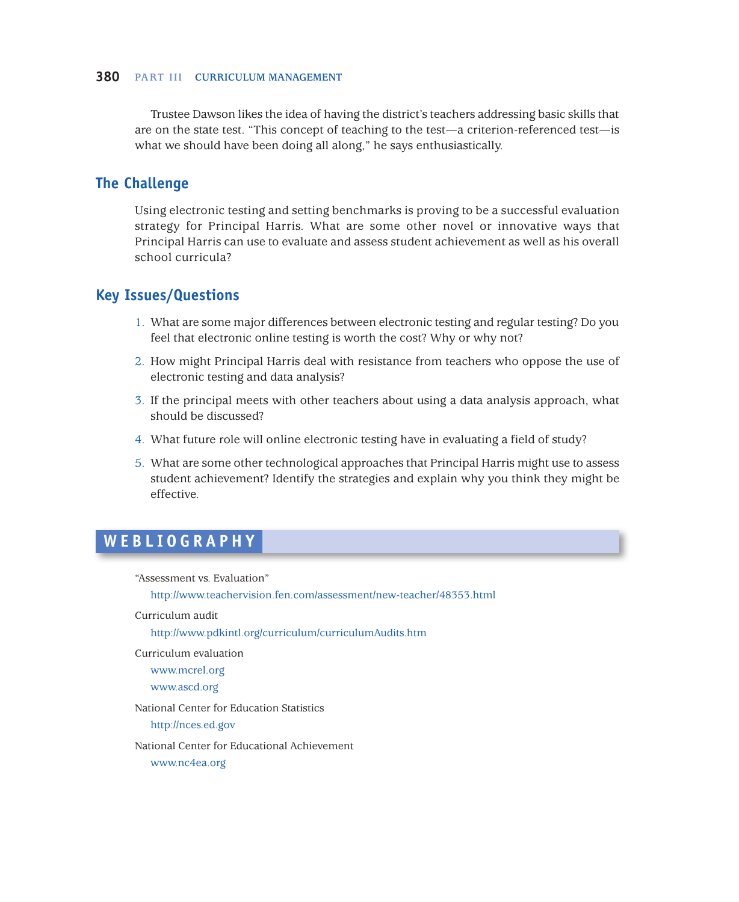Trustee Dawson likes the idea of having the district's teachers addressing basic skills that are on the state test. "This concept of teaching to the test—a criterion-referenced test—is what we should have been doing all along," he says enthusiastically.

## **The Challenge**

Using electronic testing and setting benchmarks is proving to be a successful evaluation strategy for Principal Harris. What are some other novel or innovative ways that Principal Harris can use to evaluate and assess student achievement as well as his overall school curricula?

### **Key Issues/Questions**

- 1. What are some major differences between electronic testing and regular testing? Do you feel that electronic online testing is worth the cost? Why or why not?
- 2. How might Principal Harris deal with resistance from teachers who oppose the use of electronic testing and data analysis?
- 3. If the principal meets with other teachers about using a data analysis approach, what should be discussed?
- 4. What future role will online electronic testing have in evaluating a field of study?
- 5. What are some other technological approaches that Principal Harris might use to assess student achievement? Identify the strategies and explain why you think they might be effective.

# **WEBLIOGRAPHY**

"Assessment vs. Evaluation"

http://www.teachervision.fen.com/assessment/new-teacher/48353.html

Curriculum audit

http://www.pdkintl.org/curriculum/curriculumAudits.htm

Curriculum evaluation

www.mcrel.org

www.ascd.org

National Center for Education Statistics

http://nces.ed.gov

National Center for Educational Achievement

www.nc4ea.org